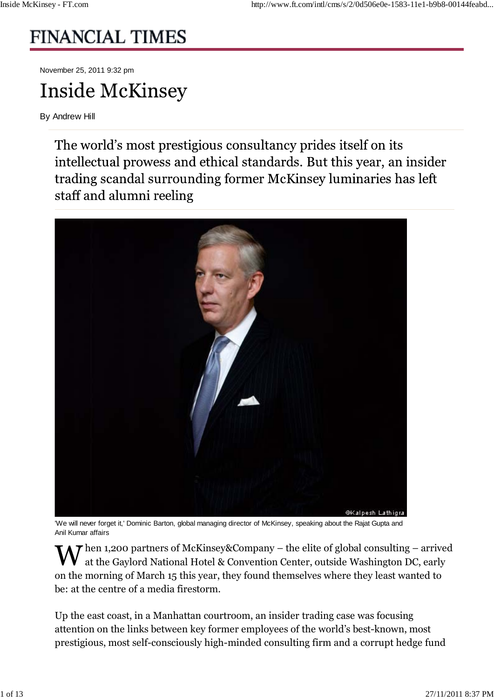# **FINANCIAL TIMES**

November 25, 2011 9:32 pm

# **Inside McKinsey**

By Andrew Hill

The world's most prestigious consultancy prides itself on its intellectual prowess and ethical standards. But this year, an insider trading scandal surrounding former McKinsey luminaries has left staff and alumni reeling



'We will never forget it,' Dominic Barton, global managing director of McKinsey, speaking about the Rajat Gupta and Anil Kumar affairs

 $\Lambda$  T hen 1,200 partners of McKinsey&Company – the elite of global consulting – arrived at the Gaylord National Hotel & Convention Center, outside Washington DC, early on the morning of March 15 this year, they found themselves where they least wanted to be: at the centre of a media firestorm.

Up the east coast, in a Manhattan courtroom, an insider trading case was focusing attention on the links between key former employees of the world's best-known, most prestigious, most self-consciously high-minded consulting firm and a corrupt hedge fund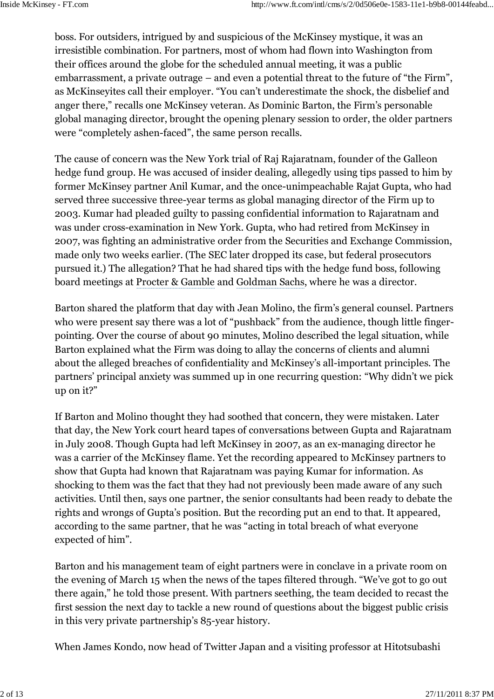boss. For outsiders, intrigued by and suspicious of the McKinsey mystique, it was an irresistible combination. For partners, most of whom had flown into Washington from their offices around the globe for the scheduled annual meeting, it was a public embarrassment, a private outrage – and even a potential threat to the future of "the Firm", as McKinseyites call their employer. "You can't underestimate the shock, the disbelief and anger there," recalls one McKinsey veteran. As Dominic Barton, the Firm's personable global managing director, brought the opening plenary session to order, the older partners were "completely ashen-faced", the same person recalls.

The cause of concern was the New York trial of Raj Rajaratnam, founder of the Galleon hedge fund group. He was accused of insider dealing, allegedly using tips passed to him by former McKinsey partner Anil Kumar, and the once-unimpeachable Rajat Gupta, who had served three successive three-year terms as global managing director of the Firm up to 2003. Kumar had pleaded guilty to passing confidential information to Rajaratnam and was under cross-examination in New York. Gupta, who had retired from McKinsey in 2007, was fighting an administrative order from the Securities and Exchange Commission, made only two weeks earlier. (The SEC later dropped its case, but federal prosecutors pursued it.) The allegation? That he had shared tips with the hedge fund boss, following board meetings at Procter & Gamble and Goldman Sachs, where he was a director.

Barton shared the platform that day with Jean Molino, the firm's general counsel. Partners who were present say there was a lot of "pushback" from the audience, though little fingerpointing. Over the course of about 90 minutes, Molino described the legal situation, while Barton explained what the Firm was doing to allay the concerns of clients and alumni about the alleged breaches of confidentiality and McKinsey's all-important principles. The partners' principal anxiety was summed up in one recurring question: "Why didn't we pick up on it?"

If Barton and Molino thought they had soothed that concern, they were mistaken. Later that day, the New York court heard tapes of conversations between Gupta and Rajaratnam in July 2008. Though Gupta had left McKinsey in 2007, as an ex-managing director he was a carrier of the McKinsey flame. Yet the recording appeared to McKinsey partners to show that Gupta had known that Rajaratnam was paying Kumar for information. As shocking to them was the fact that they had not previously been made aware of any such activities. Until then, says one partner, the senior consultants had been ready to debate the rights and wrongs of Gupta's position. But the recording put an end to that. It appeared, according to the same partner, that he was "acting in total breach of what everyone expected of him".

Barton and his management team of eight partners were in conclave in a private room on the evening of March 15 when the news of the tapes filtered through. "We've got to go out there again," he told those present. With partners seething, the team decided to recast the first session the next day to tackle a new round of questions about the biggest public crisis in this very private partnership's 85-year history.

When James Kondo, now head of Twitter Japan and a visiting professor at Hitotsubashi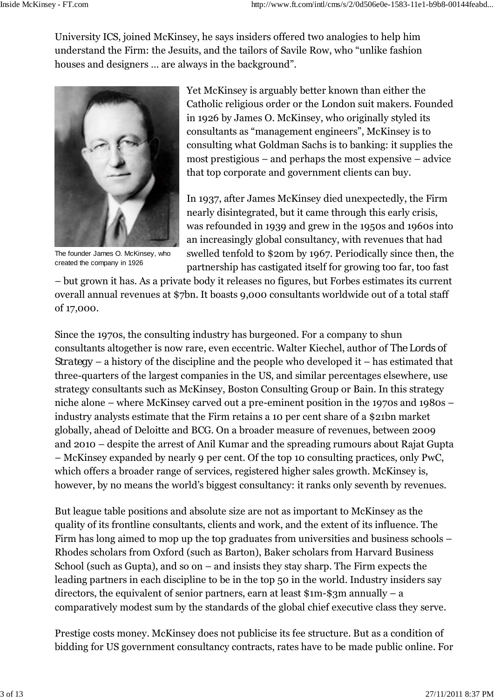University ICS, joined McKinsey, he says insiders offered two analogies to help him understand the Firm: the Jesuits, and the tailors of Savile Row, who "unlike fashion houses and designers … are always in the background".



The founder James O. McKinsey, who created the company in 1926

Yet McKinsey is arguably better known than either the Catholic religious order or the London suit makers. Founded in 1926 by James O. McKinsey, who originally styled its consultants as "management engineers", McKinsey is to consulting what Goldman Sachs is to banking: it supplies the most prestigious – and perhaps the most expensive – advice that top corporate and government clients can buy.

In 1937, after James McKinsey died unexpectedly, the Firm nearly disintegrated, but it came through this early crisis, was refounded in 1939 and grew in the 1950s and 1960s into an increasingly global consultancy, with revenues that had swelled tenfold to \$20m by 1967. Periodically since then, the partnership has castigated itself for growing too far, too fast

– but grown it has. As a private body it releases no figures, but Forbes estimates its current overall annual revenues at \$7bn. It boasts 9,000 consultants worldwide out of a total staff of 17,000.

Since the 1970s, the consulting industry has burgeoned. For a company to shun consultants altogether is now rare, even eccentric. Walter Kiechel, author of *The Lords of Strategy* – a history of the discipline and the people who developed it – has estimated that three-quarters of the largest companies in the US, and similar percentages elsewhere, use strategy consultants such as McKinsey, Boston Consulting Group or Bain. In this strategy niche alone – where McKinsey carved out a pre-eminent position in the 1970s and 1980s – industry analysts estimate that the Firm retains a 10 per cent share of a \$21bn market globally, ahead of Deloitte and BCG. On a broader measure of revenues, between 2009 and 2010 – despite the arrest of Anil Kumar and the spreading rumours about Rajat Gupta – McKinsey expanded by nearly 9 per cent. Of the top 10 consulting practices, only PwC, which offers a broader range of services, registered higher sales growth. McKinsey is, however, by no means the world's biggest consultancy: it ranks only seventh by revenues.

But league table positions and absolute size are not as important to McKinsey as the quality of its frontline consultants, clients and work, and the extent of its influence. The Firm has long aimed to mop up the top graduates from universities and business schools – Rhodes scholars from Oxford (such as Barton), Baker scholars from Harvard Business School (such as Gupta), and so on – and insists they stay sharp. The Firm expects the leading partners in each discipline to be in the top 50 in the world. Industry insiders say directors, the equivalent of senior partners, earn at least  $\gamma = \gamma$  annually – a comparatively modest sum by the standards of the global chief executive class they serve.

Prestige costs money. McKinsey does not publicise its fee structure. But as a condition of bidding for US government consultancy contracts, rates have to be made public online. For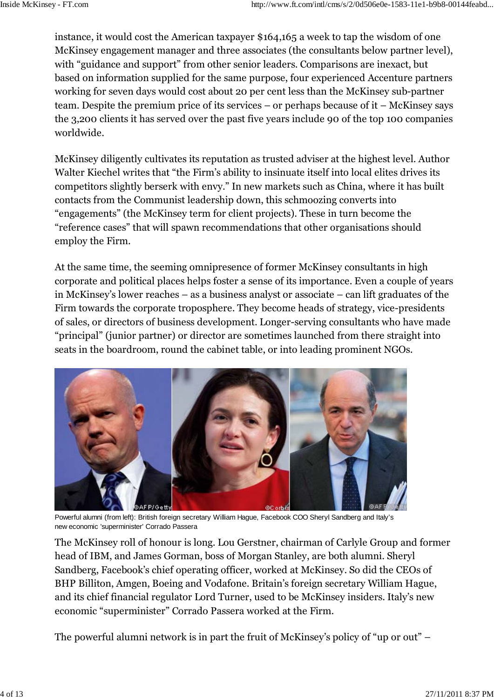instance, it would cost the American taxpayer \$164,165 a week to tap the wisdom of one McKinsey engagement manager and three associates (the consultants below partner level), with "guidance and support" from other senior leaders. Comparisons are inexact, but based on information supplied for the same purpose, four experienced Accenture partners working for seven days would cost about 20 per cent less than the McKinsey sub-partner team. Despite the premium price of its services – or perhaps because of it – McKinsey says the 3,200 clients it has served over the past five years include 90 of the top 100 companies worldwide.

McKinsey diligently cultivates its reputation as trusted adviser at the highest level. Author Walter Kiechel writes that "the Firm's ability to insinuate itself into local elites drives its competitors slightly berserk with envy." In new markets such as China, where it has built contacts from the Communist leadership down, this schmoozing converts into "engagements" (the McKinsey term for client projects). These in turn become the "reference cases" that will spawn recommendations that other organisations should employ the Firm.

At the same time, the seeming omnipresence of former McKinsey consultants in high corporate and political places helps foster a sense of its importance. Even a couple of years in McKinsey's lower reaches – as a business analyst or associate – can lift graduates of the Firm towards the corporate troposphere. They become heads of strategy, vice-presidents of sales, or directors of business development. Longer-serving consultants who have made "principal" (junior partner) or director are sometimes launched from there straight into seats in the boardroom, round the cabinet table, or into leading prominent NGOs.



Powerful alumni (from left): British foreign secretary William Hague, Facebook COO Sheryl Sandberg and Italy's new economic 'superminister' Corrado Passera

The McKinsey roll of honour is long. Lou Gerstner, chairman of Carlyle Group and former head of IBM, and James Gorman, boss of Morgan Stanley, are both alumni. Sheryl Sandberg, Facebook's chief operating officer, worked at McKinsey. So did the CEOs of BHP Billiton, Amgen, Boeing and Vodafone. Britain's foreign secretary William Hague, and its chief financial regulator Lord Turner, used to be McKinsey insiders. Italy's new economic "superminister" Corrado Passera worked at the Firm.

The powerful alumni network is in part the fruit of McKinsey's policy of "up or out" –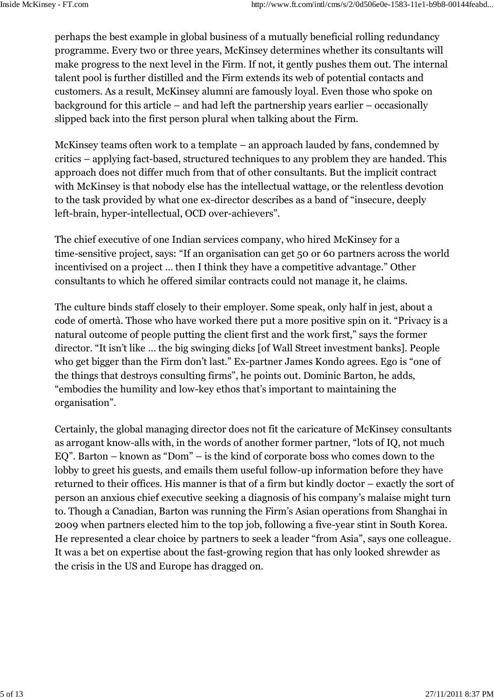perhaps the best example in global business of a mutually beneficial rolling redundancy programme. Every two or three years, McKinsey determines whether its consultants will make progress to the next level in the Firm. If not, it gently pushes them out. The internal talent pool is further distilled and the Firm extends its web of potential contacts and customers. As a result, McKinsey alumni are famously loyal. Even those who spoke on background for this article – and had left the partnership years earlier – occasionally slipped back into the first person plural when talking about the Firm.

McKinsey teams often work to a template – an approach lauded by fans, condemned by critics – applying fact-based, structured techniques to any problem they are handed. This approach does not differ much from that of other consultants. But the implicit contract with McKinsey is that nobody else has the intellectual wattage, or the relentless devotion to the task provided by what one ex-director describes as a band of "insecure, deeply left-brain, hyper-intellectual, OCD over-achievers".

The chief executive of one Indian services company, who hired McKinsey for a time-sensitive project, says: "If an organisation can get 50 or 60 partners across the world incentivised on a project … then I think they have a competitive advantage." Other consultants to which he offered similar contracts could not manage it, he claims.

The culture binds staff closely to their employer. Some speak, only half in jest, about a code of omertà. Those who have worked there put a more positive spin on it. "Privacy is a natural outcome of people putting the client first and the work first," says the former director. "It isn't like … the big swinging dicks [of Wall Street investment banks]. People who get bigger than the Firm don't last." Ex-partner James Kondo agrees. Ego is "one of the things that destroys consulting firms", he points out. Dominic Barton, he adds, "embodies the humility and low-key ethos that's important to maintaining the organisation".

Certainly, the global managing director does not fit the caricature of McKinsey consultants as arrogant know-alls with, in the words of another former partner, "lots of IQ, not much EQ". Barton – known as "Dom" – is the kind of corporate boss who comes down to the lobby to greet his guests, and emails them useful follow-up information before they have returned to their offices. His manner is that of a firm but kindly doctor – exactly the sort of person an anxious chief executive seeking a diagnosis of his company's malaise might turn to. Though a Canadian, Barton was running the Firm's Asian operations from Shanghai in 2009 when partners elected him to the top job, following a five-year stint in South Korea. He represented a clear choice by partners to seek a leader "from Asia", says one colleague. It was a bet on expertise about the fast-growing region that has only looked shrewder as the crisis in the US and Europe has dragged on.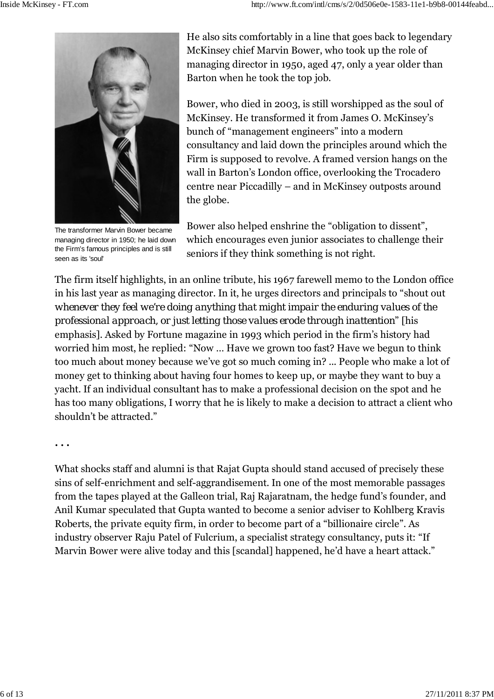

The transformer Marvin Bower became managing director in 1950; he laid down the Firm's famous principles and is still seen as its 'soul'

He also sits comfortably in a line that goes back to legendary McKinsey chief Marvin Bower, who took up the role of managing director in 1950, aged 47, only a year older than Barton when he took the top job.

Bower, who died in 2003, is still worshipped as the soul of McKinsey. He transformed it from James O. McKinsey's bunch of "management engineers" into a modern consultancy and laid down the principles around which the Firm is supposed to revolve. A framed version hangs on the wall in Barton's London office, overlooking the Trocadero centre near Piccadilly – and in McKinsey outposts around the globe.

Bower also helped enshrine the "obligation to dissent", which encourages even junior associates to challenge their seniors if they think something is not right.

The firm itself highlights, in an online tribute, his 1967 farewell memo to the London office in his last year as managing director. In it, he urges directors and principals to "shout out *whenever they feel we're doing anything that might impair the enduring values of the professional approach, or just letting those values erode through inattention*" [his emphasis]. Asked by Fortune magazine in 1993 which period in the firm's history had worried him most, he replied: "Now … Have we grown too fast? Have we begun to think too much about money because we've got so much coming in? ... People who make a lot of money get to thinking about having four homes to keep up, or maybe they want to buy a yacht. If an individual consultant has to make a professional decision on the spot and he has too many obligations, I worry that he is likely to make a decision to attract a client who shouldn't be attracted."

**. . .**

What shocks staff and alumni is that Rajat Gupta should stand accused of precisely these sins of self-enrichment and self-aggrandisement. In one of the most memorable passages from the tapes played at the Galleon trial, Raj Rajaratnam, the hedge fund's founder, and Anil Kumar speculated that Gupta wanted to become a senior adviser to Kohlberg Kravis Roberts, the private equity firm, in order to become part of a "billionaire circle". As industry observer Raju Patel of Fulcrium, a specialist strategy consultancy, puts it: "If Marvin Bower were alive today and this [scandal] happened, he'd have a heart attack."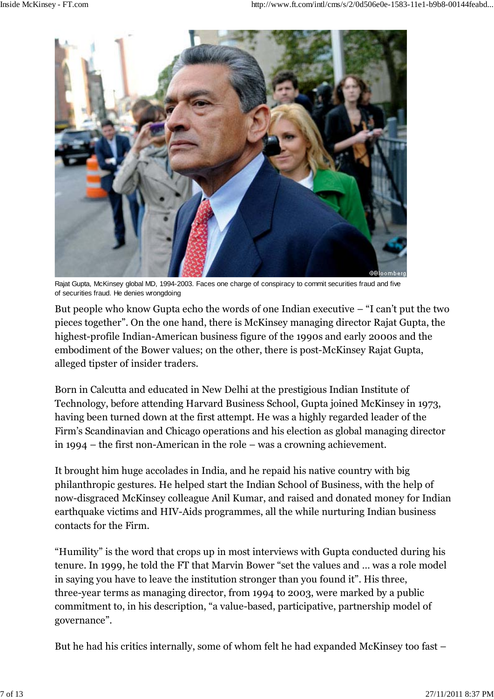

Rajat Gupta, McKinsey global MD, 1994-2003. Faces one charge of conspiracy to commit securities fraud and five of securities fraud. He denies wrongdoing

But people who know Gupta echo the words of one Indian executive – "I can't put the two pieces together". On the one hand, there is McKinsey managing director Rajat Gupta, the highest-profile Indian-American business figure of the 1990s and early 2000s and the embodiment of the Bower values; on the other, there is post-McKinsey Rajat Gupta, alleged tipster of insider traders.

Born in Calcutta and educated in New Delhi at the prestigious Indian Institute of Technology, before attending Harvard Business School, Gupta joined McKinsey in 1973, having been turned down at the first attempt. He was a highly regarded leader of the Firm's Scandinavian and Chicago operations and his election as global managing director in 1994 – the first non-American in the role – was a crowning achievement.

It brought him huge accolades in India, and he repaid his native country with big philanthropic gestures. He helped start the Indian School of Business, with the help of now-disgraced McKinsey colleague Anil Kumar, and raised and donated money for Indian earthquake victims and HIV-Aids programmes, all the while nurturing Indian business contacts for the Firm.

"Humility" is the word that crops up in most interviews with Gupta conducted during his tenure. In 1999, he told the FT that Marvin Bower "set the values and … was a role model in saying you have to leave the institution stronger than you found it". His three, three-year terms as managing director, from 1994 to 2003, were marked by a public commitment to, in his description, "a value-based, participative, partnership model of governance".

But he had his critics internally, some of whom felt he had expanded McKinsey too fast –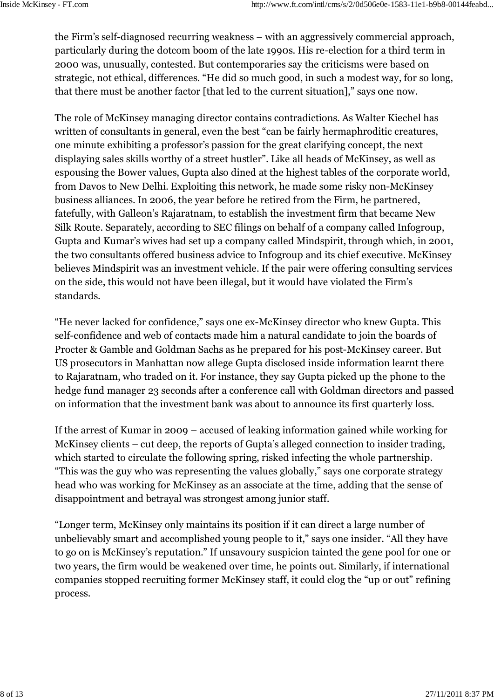the Firm's self-diagnosed recurring weakness – with an aggressively commercial approach, particularly during the dotcom boom of the late 1990s. His re-election for a third term in 2000 was, unusually, contested. But contemporaries say the criticisms were based on strategic, not ethical, differences. "He did so much good, in such a modest way, for so long, that there must be another factor [that led to the current situation]," says one now.

The role of McKinsey managing director contains contradictions. As Walter Kiechel has written of consultants in general, even the best "can be fairly hermaphroditic creatures, one minute exhibiting a professor's passion for the great clarifying concept, the next displaying sales skills worthy of a street hustler". Like all heads of McKinsey, as well as espousing the Bower values, Gupta also dined at the highest tables of the corporate world, from Davos to New Delhi. Exploiting this network, he made some risky non-McKinsey business alliances. In 2006, the year before he retired from the Firm, he partnered, fatefully, with Galleon's Rajaratnam, to establish the investment firm that became New Silk Route. Separately, according to SEC filings on behalf of a company called Infogroup, Gupta and Kumar's wives had set up a company called Mindspirit, through which, in 2001, the two consultants offered business advice to Infogroup and its chief executive. McKinsey believes Mindspirit was an investment vehicle. If the pair were offering consulting services on the side, this would not have been illegal, but it would have violated the Firm's standards.

"He never lacked for confidence," says one ex-McKinsey director who knew Gupta. This self-confidence and web of contacts made him a natural candidate to join the boards of Procter & Gamble and Goldman Sachs as he prepared for his post-McKinsey career. But US prosecutors in Manhattan now allege Gupta disclosed inside information learnt there to Rajaratnam, who traded on it. For instance, they say Gupta picked up the phone to the hedge fund manager 23 seconds after a conference call with Goldman directors and passed on information that the investment bank was about to announce its first quarterly loss.

If the arrest of Kumar in 2009 – accused of leaking information gained while working for McKinsey clients – cut deep, the reports of Gupta's alleged connection to insider trading, which started to circulate the following spring, risked infecting the whole partnership. "This was the guy who was representing the values globally," says one corporate strategy head who was working for McKinsey as an associate at the time, adding that the sense of disappointment and betrayal was strongest among junior staff.

"Longer term, McKinsey only maintains its position if it can direct a large number of unbelievably smart and accomplished young people to it," says one insider. "All they have to go on is McKinsey's reputation." If unsavoury suspicion tainted the gene pool for one or two years, the firm would be weakened over time, he points out. Similarly, if international companies stopped recruiting former McKinsey staff, it could clog the "up or out" refining process.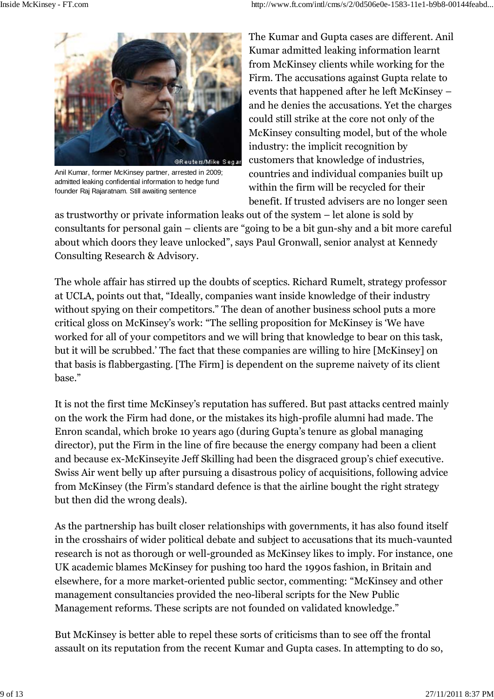

Anil Kumar, former McKinsey partner, arrested in 2009; admitted leaking confidential information to hedge fund founder Raj Rajaratnam. Still awaiting sentence

The Kumar and Gupta cases are different. Anil Kumar admitted leaking information learnt from McKinsey clients while working for the Firm. The accusations against Gupta relate to events that happened after he left McKinsey – and he denies the accusations. Yet the charges could still strike at the core not only of the McKinsey consulting model, but of the whole industry: the implicit recognition by customers that knowledge of industries, countries and individual companies built up within the firm will be recycled for their benefit. If trusted advisers are no longer seen

as trustworthy or private information leaks out of the system – let alone is sold by consultants for personal gain – clients are "going to be a bit gun-shy and a bit more careful about which doors they leave unlocked", says Paul Gronwall, senior analyst at Kennedy Consulting Research & Advisory.

The whole affair has stirred up the doubts of sceptics. Richard Rumelt, strategy professor at UCLA, points out that, "Ideally, companies want inside knowledge of their industry without spying on their competitors." The dean of another business school puts a more critical gloss on McKinsey's work: "The selling proposition for McKinsey is 'We have worked for all of your competitors and we will bring that knowledge to bear on this task, but it will be scrubbed.' The fact that these companies are willing to hire [McKinsey] on that basis is flabbergasting. [The Firm] is dependent on the supreme naivety of its client base."

It is not the first time McKinsey's reputation has suffered. But past attacks centred mainly on the work the Firm had done, or the mistakes its high-profile alumni had made. The Enron scandal, which broke 10 years ago (during Gupta's tenure as global managing director), put the Firm in the line of fire because the energy company had been a client and because ex-McKinseyite Jeff Skilling had been the disgraced group's chief executive. Swiss Air went belly up after pursuing a disastrous policy of acquisitions, following advice from McKinsey (the Firm's standard defence is that the airline bought the right strategy but then did the wrong deals).

As the partnership has built closer relationships with governments, it has also found itself in the crosshairs of wider political debate and subject to accusations that its much-vaunted research is not as thorough or well-grounded as McKinsey likes to imply. For instance, one UK academic blames McKinsey for pushing too hard the 1990s fashion, in Britain and elsewhere, for a more market-oriented public sector, commenting: "McKinsey and other management consultancies provided the neo-liberal scripts for the New Public Management reforms. These scripts are not founded on validated knowledge."

But McKinsey is better able to repel these sorts of criticisms than to see off the frontal assault on its reputation from the recent Kumar and Gupta cases. In attempting to do so,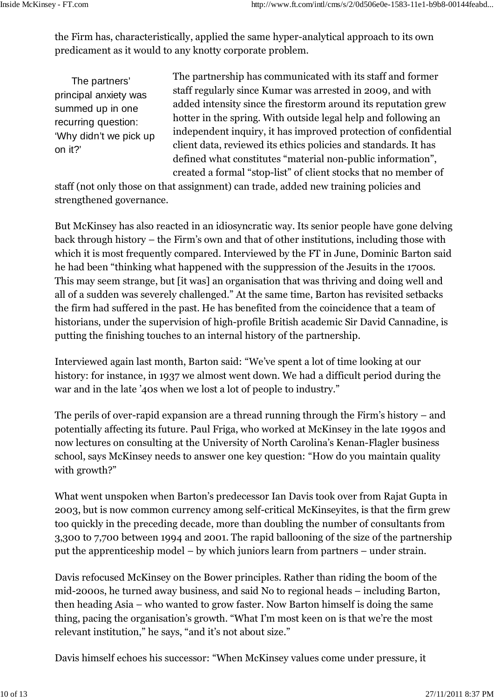the Firm has, characteristically, applied the same hyper-analytical approach to its own predicament as it would to any knotty corporate problem.

The partners' principal anxiety was summed up in one recurring question: 'Why didn't we pick up on it?'

The partnership has communicated with its staff and former staff regularly since Kumar was arrested in 2009, and with added intensity since the firestorm around its reputation grew hotter in the spring. With outside legal help and following an independent inquiry, it has improved protection of confidential client data, reviewed its ethics policies and standards. It has defined what constitutes "material non-public information", created a formal "stop-list" of client stocks that no member of

staff (not only those on that assignment) can trade, added new training policies and strengthened governance.

But McKinsey has also reacted in an idiosyncratic way. Its senior people have gone delving back through history – the Firm's own and that of other institutions, including those with which it is most frequently compared. Interviewed by the FT in June, Dominic Barton said he had been "thinking what happened with the suppression of the Jesuits in the 1700s. This may seem strange, but [it was] an organisation that was thriving and doing well and all of a sudden was severely challenged." At the same time, Barton has revisited setbacks the firm had suffered in the past. He has benefited from the coincidence that a team of historians, under the supervision of high-profile British academic Sir David Cannadine, is putting the finishing touches to an internal history of the partnership.

Interviewed again last month, Barton said: "We've spent a lot of time looking at our history: for instance, in 1937 we almost went down. We had a difficult period during the war and in the late '40s when we lost a lot of people to industry."

The perils of over-rapid expansion are a thread running through the Firm's history – and potentially affecting its future. Paul Friga, who worked at McKinsey in the late 1990s and now lectures on consulting at the University of North Carolina's Kenan-Flagler business school, says McKinsey needs to answer one key question: "How do you maintain quality with growth?"

What went unspoken when Barton's predecessor Ian Davis took over from Rajat Gupta in 2003, but is now common currency among self-critical McKinseyites, is that the firm grew too quickly in the preceding decade, more than doubling the number of consultants from 3,300 to 7,700 between 1994 and 2001. The rapid ballooning of the size of the partnership put the apprenticeship model – by which juniors learn from partners – under strain.

Davis refocused McKinsey on the Bower principles. Rather than riding the boom of the mid-2000s, he turned away business, and said No to regional heads – including Barton, then heading Asia – who wanted to grow faster. Now Barton himself is doing the same thing, pacing the organisation's growth. "What I'm most keen on is that we're the most relevant institution," he says, "and it's not about size."

Davis himself echoes his successor: "When McKinsey values come under pressure, it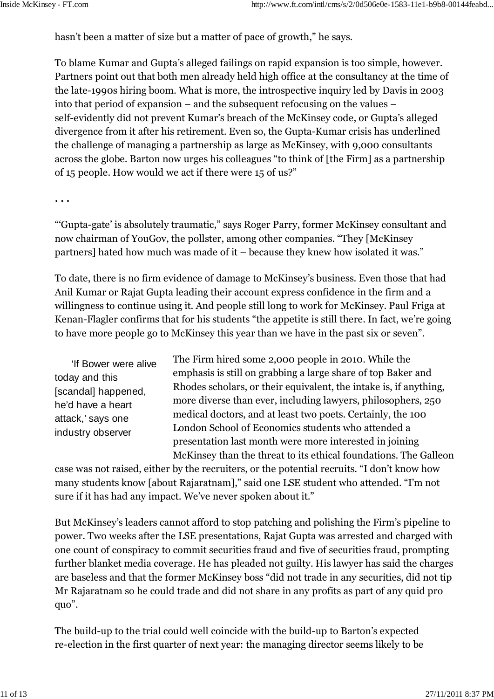hasn't been a matter of size but a matter of pace of growth," he says.

To blame Kumar and Gupta's alleged failings on rapid expansion is too simple, however. Partners point out that both men already held high office at the consultancy at the time of the late-1990s hiring boom. What is more, the introspective inquiry led by Davis in 2003 into that period of expansion – and the subsequent refocusing on the values – self-evidently did not prevent Kumar's breach of the McKinsey code, or Gupta's alleged divergence from it after his retirement. Even so, the Gupta-Kumar crisis has underlined the challenge of managing a partnership as large as McKinsey, with 9,000 consultants across the globe. Barton now urges his colleagues "to think of [the Firm] as a partnership of 15 people. How would we act if there were 15 of us?"

**. . .**

"'Gupta-gate' is absolutely traumatic," says Roger Parry, former McKinsey consultant and now chairman of YouGov, the pollster, among other companies. "They [McKinsey partners] hated how much was made of it – because they knew how isolated it was."

To date, there is no firm evidence of damage to McKinsey's business. Even those that had Anil Kumar or Rajat Gupta leading their account express confidence in the firm and a willingness to continue using it. And people still long to work for McKinsey. Paul Friga at Kenan-Flagler confirms that for his students "the appetite is still there. In fact, we're going to have more people go to McKinsey this year than we have in the past six or seven".

'If Bower were alive today and this [scandal] happened, he'd have a heart attack,' says one industry observer

The Firm hired some 2,000 people in 2010. While the emphasis is still on grabbing a large share of top Baker and Rhodes scholars, or their equivalent, the intake is, if anything, more diverse than ever, including lawyers, philosophers, 250 medical doctors, and at least two poets. Certainly, the 100 London School of Economics students who attended a presentation last month were more interested in joining McKinsey than the threat to its ethical foundations. The Galleon

case was not raised, either by the recruiters, or the potential recruits. "I don't know how many students know [about Rajaratnam]," said one LSE student who attended. "I'm not sure if it has had any impact. We've never spoken about it."

But McKinsey's leaders cannot afford to stop patching and polishing the Firm's pipeline to power. Two weeks after the LSE presentations, Rajat Gupta was arrested and charged with one count of conspiracy to commit securities fraud and five of securities fraud, prompting further blanket media coverage. He has pleaded not guilty. His lawyer has said the charges are baseless and that the former McKinsey boss "did not trade in any securities, did not tip Mr Rajaratnam so he could trade and did not share in any profits as part of any quid pro quo".

The build-up to the trial could well coincide with the build-up to Barton's expected re-election in the first quarter of next year: the managing director seems likely to be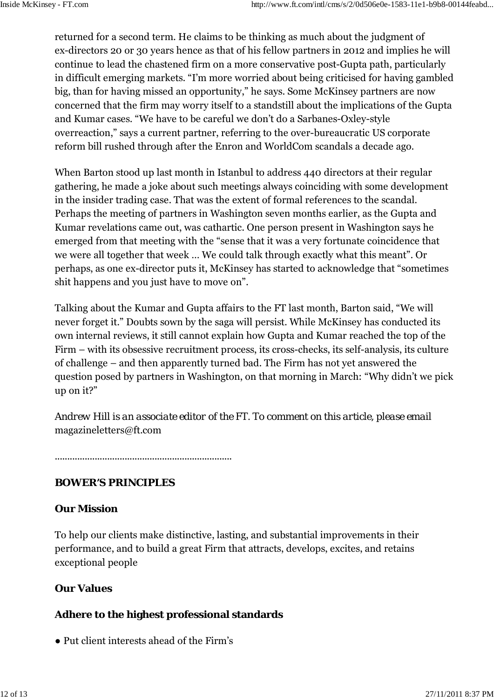returned for a second term. He claims to be thinking as much about the judgment of ex-directors 20 or 30 years hence as that of his fellow partners in 2012 and implies he will continue to lead the chastened firm on a more conservative post-Gupta path, particularly in difficult emerging markets. "I'm more worried about being criticised for having gambled big, than for having missed an opportunity," he says. Some McKinsey partners are now concerned that the firm may worry itself to a standstill about the implications of the Gupta and Kumar cases. "We have to be careful we don't do a Sarbanes-Oxley-style overreaction," says a current partner, referring to the over-bureaucratic US corporate reform bill rushed through after the Enron and WorldCom scandals a decade ago.

When Barton stood up last month in Istanbul to address 440 directors at their regular gathering, he made a joke about such meetings always coinciding with some development in the insider trading case. That was the extent of formal references to the scandal. Perhaps the meeting of partners in Washington seven months earlier, as the Gupta and Kumar revelations came out, was cathartic. One person present in Washington says he emerged from that meeting with the "sense that it was a very fortunate coincidence that we were all together that week … We could talk through exactly what this meant". Or perhaps, as one ex-director puts it, McKinsey has started to acknowledge that "sometimes shit happens and you just have to move on".

Talking about the Kumar and Gupta affairs to the FT last month, Barton said, "We will never forget it." Doubts sown by the saga will persist. While McKinsey has conducted its own internal reviews, it still cannot explain how Gupta and Kumar reached the top of the Firm – with its obsessive recruitment process, its cross-checks, its self-analysis, its culture of challenge – and then apparently turned bad. The Firm has not yet answered the question posed by partners in Washington, on that morning in March: "Why didn't we pick up on it?"

*Andrew Hill is an associate editor of the FT. To comment on this article, please email* magazineletters@ft.com

.......................................................................

### **BOWER'S PRINCIPLES**

### **Our Mission**

To help our clients make distinctive, lasting, and substantial improvements in their performance, and to build a great Firm that attracts, develops, excites, and retains exceptional people

#### **Our Values**

#### **Adhere to the highest professional standards**

● Put client interests ahead of the Firm's